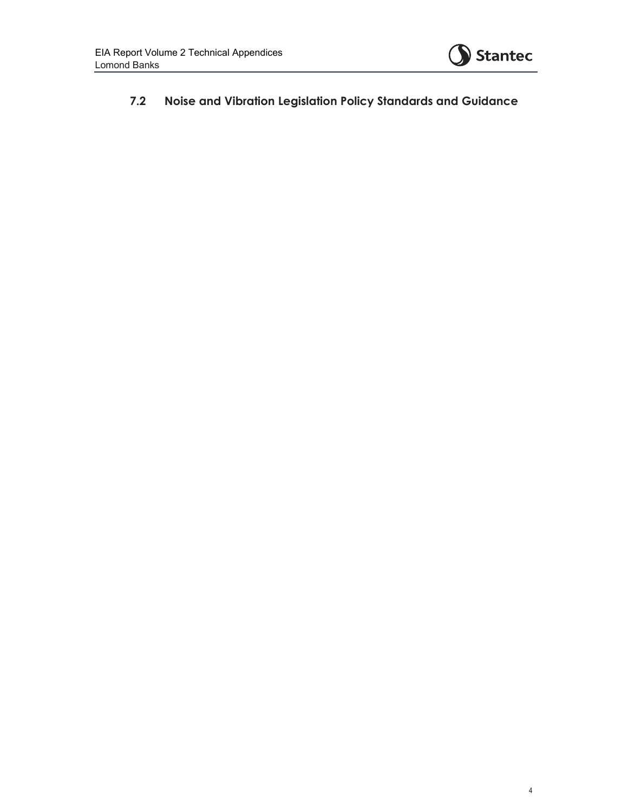

**7.2 Noise and Vibration Legislation Policy Standards and Guidance**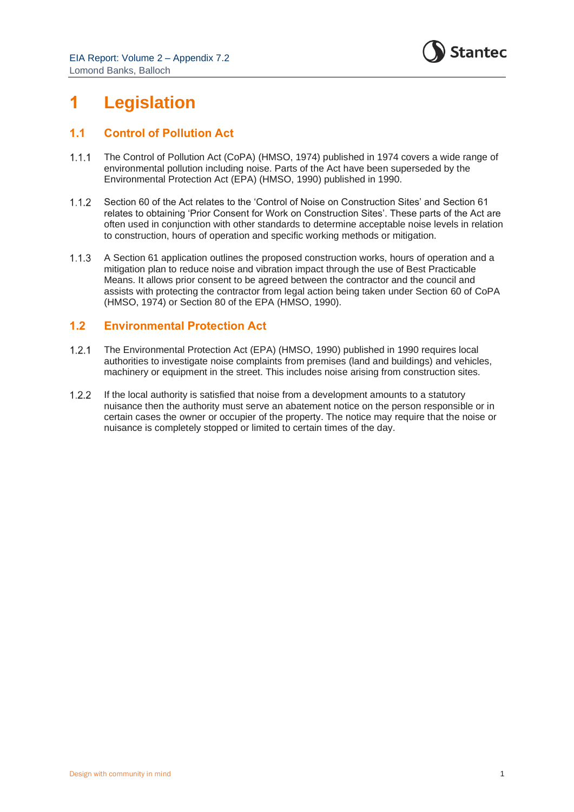

## **1 Legislation**

## **1.1 Control of Pollution Act**

- $1.1.1$ The Control of Pollution Act (CoPA) (HMSO, 1974) published in 1974 covers a wide range of environmental pollution including noise. Parts of the Act have been superseded by the Environmental Protection Act (EPA) (HMSO, 1990) published in 1990.
- $1.1.2$ Section 60 of the Act relates to the 'Control of Noise on Construction Sites' and Section 61 relates to obtaining 'Prior Consent for Work on Construction Sites'. These parts of the Act are often used in conjunction with other standards to determine acceptable noise levels in relation to construction, hours of operation and specific working methods or mitigation.
- A Section 61 application outlines the proposed construction works, hours of operation and a  $1.1.3$ mitigation plan to reduce noise and vibration impact through the use of Best Practicable Means. It allows prior consent to be agreed between the contractor and the council and assists with protecting the contractor from legal action being taken under Section 60 of CoPA (HMSO, 1974) or Section 80 of the EPA (HMSO, 1990).

## **1.2 Environmental Protection Act**

- $1.2.1$ The Environmental Protection Act (EPA) (HMSO, 1990) published in 1990 requires local authorities to investigate noise complaints from premises (land and buildings) and vehicles, machinery or equipment in the street. This includes noise arising from construction sites.
- $1.2.2$ If the local authority is satisfied that noise from a development amounts to a statutory nuisance then the authority must serve an abatement notice on the person responsible or in certain cases the owner or occupier of the property. The notice may require that the noise or nuisance is completely stopped or limited to certain times of the day.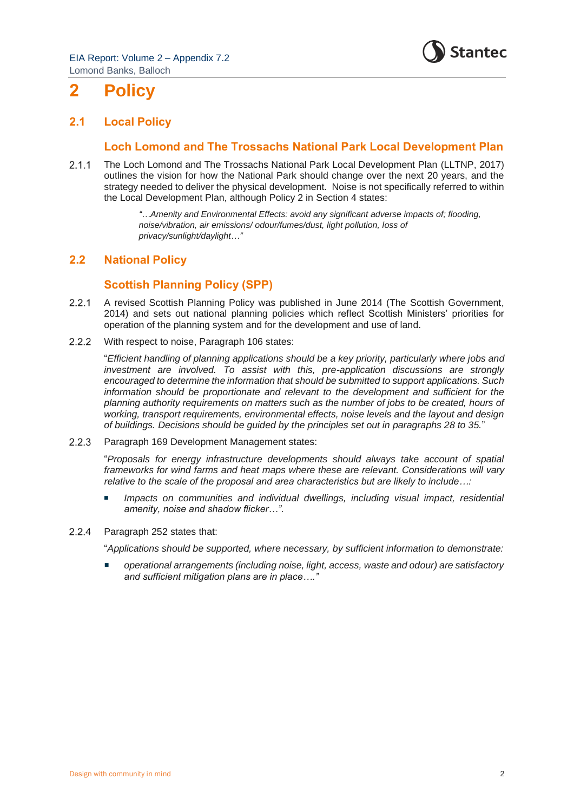EIA Report: Volume 2 – Appendix 7.2 Lomond Banks, Balloch



# **2 Policy**

## **2.1 Local Policy**

### **Loch Lomond and The Trossachs National Park Local Development Plan**

The Loch Lomond and The Trossachs National Park Local Development Plan (LLTNP, 2017)  $2.1.1$ outlines the vision for how the National Park should change over the next 20 years, and the strategy needed to deliver the physical development. Noise is not specifically referred to within the Local Development Plan, although Policy 2 in Section 4 states:

> *"…Amenity and Environmental Effects: avoid any significant adverse impacts of; flooding, noise/vibration, air emissions/ odour/fumes/dust, light pollution, loss of privacy/sunlight/daylight…"*

## **2.2 National Policy**

## **Scottish Planning Policy (SPP)**

- $2.2.1$ A revised Scottish Planning Policy was published in June 2014 (The Scottish Government, 2014) and sets out national planning policies which reflect Scottish Ministers' priorities for operation of the planning system and for the development and use of land.
- $2.2.2$ With respect to noise, Paragraph 106 states:

"*Efficient handling of planning applications should be a key priority, particularly where jobs and investment are involved. To assist with this, pre-application discussions are strongly encouraged to determine the information that should be submitted to support applications. Such information should be proportionate and relevant to the development and sufficient for the planning authority requirements on matters such as the number of jobs to be created, hours of working, transport requirements, environmental effects, noise levels and the layout and design of buildings. Decisions should be guided by the principles set out in paragraphs 28 to 35.*"

 $223$ Paragraph 169 Development Management states:

> "*Proposals for energy infrastructure developments should always take account of spatial frameworks for wind farms and heat maps where these are relevant. Considerations will vary relative to the scale of the proposal and area characteristics but are likely to include…:*

- *Impacts on communities and individual dwellings, including visual impact, residential amenity, noise and shadow flicker…".*
- Paragraph 252 states that:  $2.2.4$

"*Applications should be supported, where necessary, by sufficient information to demonstrate:*

 *operational arrangements (including noise, light, access, waste and odour) are satisfactory and sufficient mitigation plans are in place…."*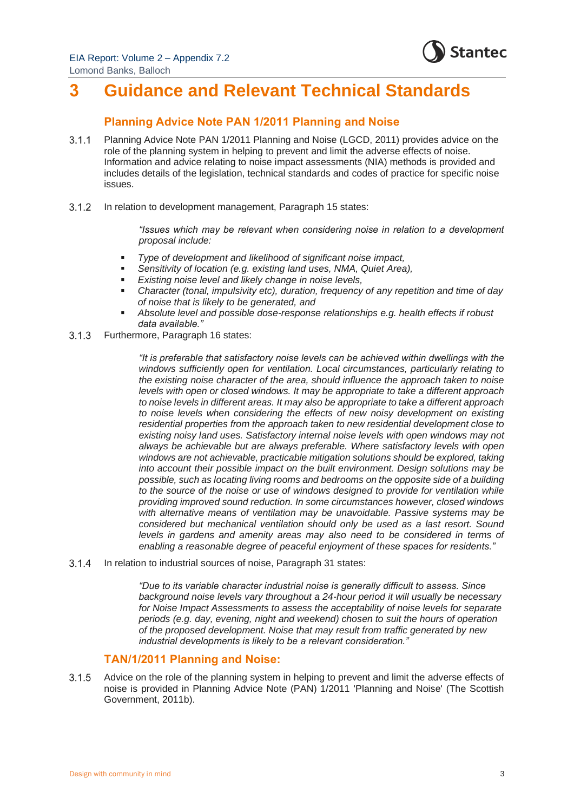EIA Report: Volume 2 – Appendix 7.2 Lomond Banks, Balloch



## **3 Guidance and Relevant Technical Standards**

## **Planning Advice Note PAN 1/2011 Planning and Noise**

- $3.1.1$ Planning Advice Note PAN 1/2011 Planning and Noise (LGCD, 2011) provides advice on the role of the planning system in helping to prevent and limit the adverse effects of noise. Information and advice relating to noise impact assessments (NIA) methods is provided and includes details of the legislation, technical standards and codes of practice for specific noise issues.
- $3.1.2$ In relation to development management, Paragraph 15 states:

*"Issues which may be relevant when considering noise in relation to a development proposal include:*

- *Type of development and likelihood of significant noise impact,*
- Sensitivity of location (e.g. existing land uses, NMA, Quiet Area),
- *Existing noise level and likely change in noise levels,*
- *Character (tonal, impulsivity etc), duration, frequency of any repetition and time of day of noise that is likely to be generated, and*
- *Absolute level and possible dose-response relationships e.g. health effects if robust data available."*
- Furthermore, Paragraph 16 states:  $3.1.3$

*"It is preferable that satisfactory noise levels can be achieved within dwellings with the windows sufficiently open for ventilation. Local circumstances, particularly relating to the existing noise character of the area, should influence the approach taken to noise levels with open or closed windows. It may be appropriate to take a different approach to noise levels in different areas. It may also be appropriate to take a different approach to noise levels when considering the effects of new noisy development on existing residential properties from the approach taken to new residential development close to existing noisy land uses. Satisfactory internal noise levels with open windows may not always be achievable but are always preferable. Where satisfactory levels with open windows are not achievable, practicable mitigation solutions should be explored, taking into account their possible impact on the built environment. Design solutions may be possible, such as locating living rooms and bedrooms on the opposite side of a building to the source of the noise or use of windows designed to provide for ventilation while providing improved sound reduction. In some circumstances however, closed windows with alternative means of ventilation may be unavoidable. Passive systems may be considered but mechanical ventilation should only be used as a last resort. Sound levels in gardens and amenity areas may also need to be considered in terms of enabling a reasonable degree of peaceful enjoyment of these spaces for residents."*

 $3.1.4$ In relation to industrial sources of noise, Paragraph 31 states:

> *"Due to its variable character industrial noise is generally difficult to assess. Since background noise levels vary throughout a 24-hour period it will usually be necessary for Noise Impact Assessments to assess the acceptability of noise levels for separate periods (e.g. day, evening, night and weekend) chosen to suit the hours of operation of the proposed development. Noise that may result from traffic generated by new industrial developments is likely to be a relevant consideration."*

## **TAN/1/2011 Planning and Noise:**

 $3.1.5$ Advice on the role of the planning system in helping to prevent and limit the adverse effects of noise is provided in Planning Advice Note (PAN) 1/2011 'Planning and Noise' (The Scottish Government, 2011b).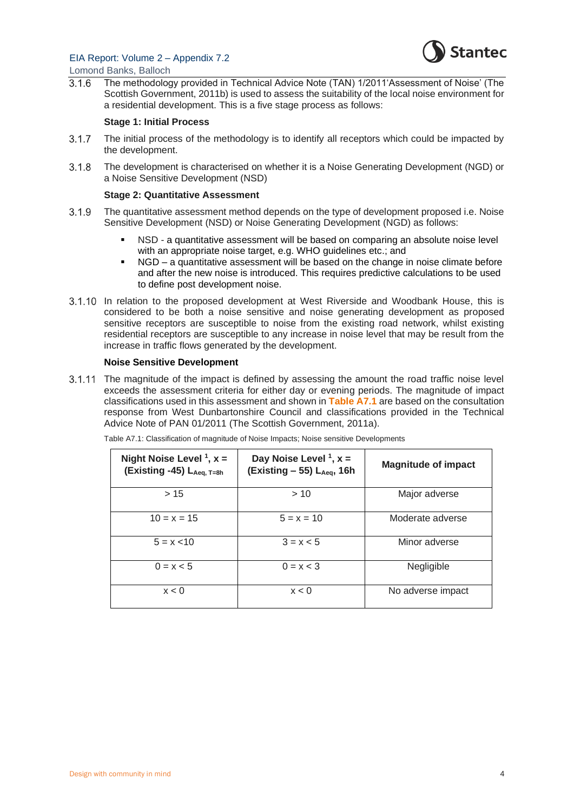

Lomond Banks, Balloch

The methodology provided in Technical Advice Note (TAN) 1/2011'Assessment of Noise' (The  $3.1.6$ Scottish Government, 2011b) is used to assess the suitability of the local noise environment for a residential development. This is a five stage process as follows:

#### **Stage 1: Initial Process**

- $3.1.7$ The initial process of the methodology is to identify all receptors which could be impacted by the development.
- The development is characterised on whether it is a Noise Generating Development (NGD) or  $3.1.8$ a Noise Sensitive Development (NSD)

#### **Stage 2: Quantitative Assessment**

- $3.1.9$ The quantitative assessment method depends on the type of development proposed i.e. Noise Sensitive Development (NSD) or Noise Generating Development (NGD) as follows:
	- NSD a quantitative assessment will be based on comparing an absolute noise level with an appropriate noise target, e.g. WHO guidelines etc.; and
	- NGD a quantitative assessment will be based on the change in noise climate before and after the new noise is introduced. This requires predictive calculations to be used to define post development noise.
- 3.1.10 In relation to the proposed development at West Riverside and Woodbank House, this is considered to be both a noise sensitive and noise generating development as proposed sensitive receptors are susceptible to noise from the existing road network, whilst existing residential receptors are susceptible to any increase in noise level that may be result from the increase in traffic flows generated by the development.

#### **Noise Sensitive Development**

3.1.11 The magnitude of the impact is defined by assessing the amount the road traffic noise level exceeds the assessment criteria for either day or evening periods. The magnitude of impact classifications used in this assessment and shown in **Table A7.1** are based on the consultation response from West Dunbartonshire Council and classifications provided in the Technical Advice Note of PAN 01/2011 (The Scottish Government, 2011a).

| Night Noise Level $1$ , $x =$<br>(Existing -45) LAeg, T=8h | Day Noise Level $1, x =$<br>$(Existing - 55)$ L <sub>Aeg</sub> , 16h | <b>Magnitude of impact</b> |
|------------------------------------------------------------|----------------------------------------------------------------------|----------------------------|
| >15                                                        | >10                                                                  | Major adverse              |
| $10 = x = 15$                                              | $5 = x = 10$                                                         | Moderate adverse           |
| $5 = x < 10$                                               | $3 = x < 5$                                                          | Minor adverse              |
| $0 = x < 5$                                                | $0 = x < 3$                                                          | Negligible                 |
| x < 0                                                      | x < 0                                                                | No adverse impact          |

Table A7.1: Classification of magnitude of Noise Impacts; Noise sensitive Developments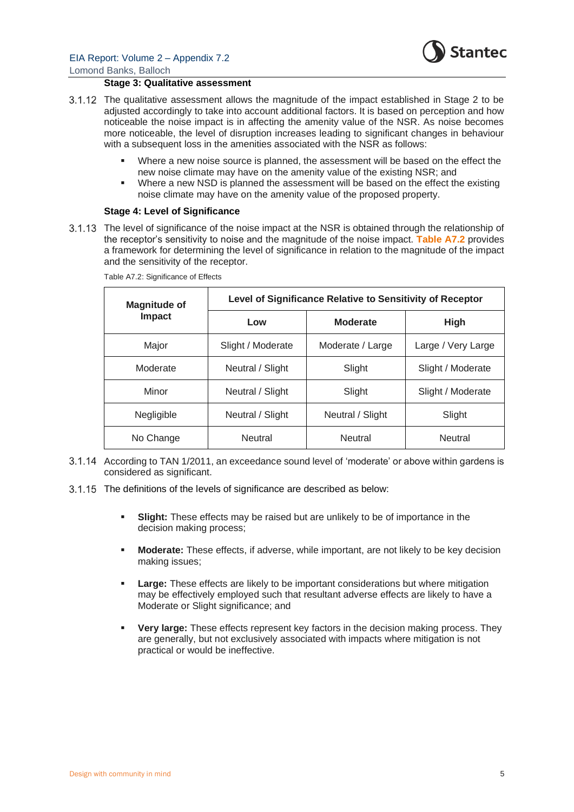

#### **Stage 3: Qualitative assessment**

- The qualitative assessment allows the magnitude of the impact established in Stage 2 to be adjusted accordingly to take into account additional factors. It is based on perception and how noticeable the noise impact is in affecting the amenity value of the NSR. As noise becomes more noticeable, the level of disruption increases leading to significant changes in behaviour with a subsequent loss in the amenities associated with the NSR as follows:
	- Where a new noise source is planned, the assessment will be based on the effect the new noise climate may have on the amenity value of the existing NSR; and
	- Where a new NSD is planned the assessment will be based on the effect the existing noise climate may have on the amenity value of the proposed property.

#### **Stage 4: Level of Significance**

The level of significance of the noise impact at the NSR is obtained through the relationship of the receptor's sensitivity to noise and the magnitude of the noise impact. **Table A7.2** provides a framework for determining the level of significance in relation to the magnitude of the impact and the sensitivity of the receptor.

| Magnitude of  | Level of Significance Relative to Sensitivity of Receptor |                  |                    |  |
|---------------|-----------------------------------------------------------|------------------|--------------------|--|
| <b>Impact</b> | Low                                                       | <b>Moderate</b>  | <b>High</b>        |  |
| Major         | Slight / Moderate                                         | Moderate / Large | Large / Very Large |  |
| Moderate      | Neutral / Slight                                          | Slight           | Slight / Moderate  |  |
| Minor         | Neutral / Slight                                          | Slight           | Slight / Moderate  |  |
| Negligible    | Neutral / Slight                                          | Neutral / Slight | Slight             |  |
| No Change     | <b>Neutral</b>                                            | <b>Neutral</b>   | <b>Neutral</b>     |  |

Table A7.2: Significance of Effects

- According to TAN 1/2011, an exceedance sound level of 'moderate' or above within gardens is considered as significant.
- 3.1.15 The definitions of the levels of significance are described as below:
	- **Slight:** These effects may be raised but are unlikely to be of importance in the decision making process;
	- **Moderate:** These effects, if adverse, while important, are not likely to be key decision making issues;
	- Large: These effects are likely to be important considerations but where mitigation may be effectively employed such that resultant adverse effects are likely to have a Moderate or Slight significance; and
	- **Very large:** These effects represent key factors in the decision making process. They are generally, but not exclusively associated with impacts where mitigation is not practical or would be ineffective.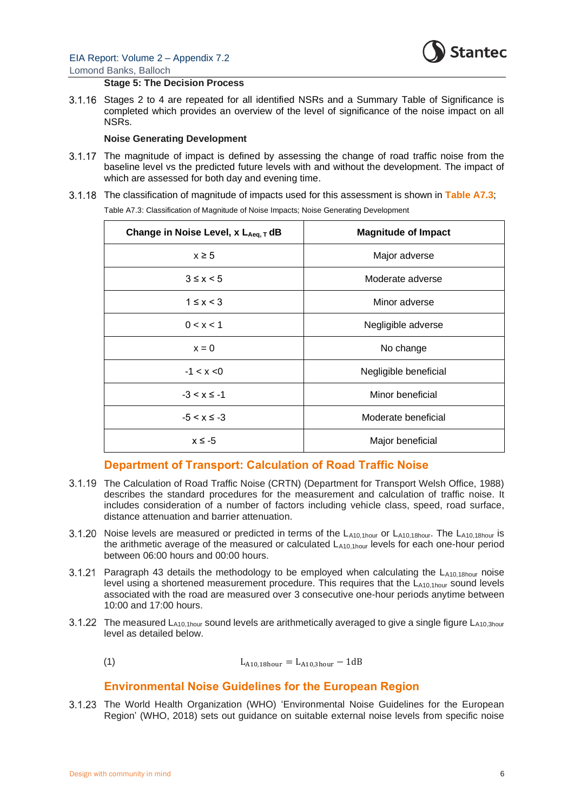

#### **Stage 5: The Decision Process**

 $3.1.16$ Stages 2 to 4 are repeated for all identified NSRs and a Summary Table of Significance is completed which provides an overview of the level of significance of the noise impact on all NSRs.

#### **Noise Generating Development**

- 3.1.17 The magnitude of impact is defined by assessing the change of road traffic noise from the baseline level vs the predicted future levels with and without the development. The impact of which are assessed for both day and evening time.
- The classification of magnitude of impacts used for this assessment is shown in **Table A7.3**;

Table A7.3: Classification of Magnitude of Noise Impacts; Noise Generating Development

| Change in Noise Level, x LAeq, T dB | <b>Magnitude of Impact</b> |
|-------------------------------------|----------------------------|
| $x \geq 5$                          | Major adverse              |
| $3 \leq x < 5$                      | Moderate adverse           |
| $1 \leq x < 3$                      | Minor adverse              |
| 0 < x < 1                           | Negligible adverse         |
| $x = 0$                             | No change                  |
| $-1 < x < 0$                        | Negligible beneficial      |
| $-3 < x \le -1$                     | Minor beneficial           |
| $-5 < x \le -3$                     | Moderate beneficial        |
| $x \le -5$                          | Major beneficial           |

### **Department of Transport: Calculation of Road Traffic Noise**

- The Calculation of Road Traffic Noise (CRTN) (Department for Transport Welsh Office, 1988) describes the standard procedures for the measurement and calculation of traffic noise. It includes consideration of a number of factors including vehicle class, speed, road surface, distance attenuation and barrier attenuation.
- $3.1.20$ Noise levels are measured or predicted in terms of the  $L_{A10.1hour}$  or  $L_{A10.18hour}$ . The  $L_{A10.18hour}$  is the arithmetic average of the measured or calculated  $L_{410,1h_0yr}$  levels for each one-hour period between 06:00 hours and 00:00 hours.
- 3.1.21 Paragraph 43 details the methodology to be employed when calculating the  $L_{A10,18hour}$  noise level using a shortened measurement procedure. This requires that the  $L_{A10,1 hour}$  sound levels associated with the road are measured over 3 consecutive one-hour periods anytime between 10:00 and 17:00 hours.
- 3.1.22 The measured  $L_{A10,1 hour}$  sound levels are arithmetically averaged to give a single figure  $L_{A10,3 hour}$ level as detailed below.
	- (1)  $L_{A10.18\text{hour}} = L_{A10.3\text{hour}} 1 \text{dB}$

### **Environmental Noise Guidelines for the European Region**

3.1.23 The World Health Organization (WHO) 'Environmental Noise Guidelines for the European Region' (WHO, 2018) sets out guidance on suitable external noise levels from specific noise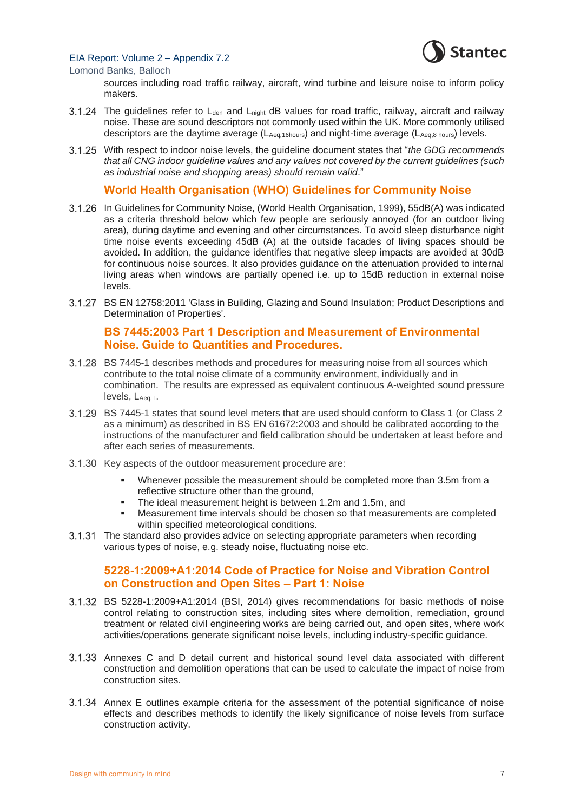

sources including road traffic railway, aircraft, wind turbine and leisure noise to inform policy makers.

- 3.1.24 The guidelines refer to  $L_{den}$  and  $L_{nicht}$  dB values for road traffic, railway, aircraft and railway noise. These are sound descriptors not commonly used within the UK. More commonly utilised descriptors are the daytime average (LAeq,16hours) and night-time average (LAeq,8 hours) levels.
- With respect to indoor noise levels, the guideline document states that "*the GDG recommends that all CNG indoor guideline values and any values not covered by the current guidelines (such as industrial noise and shopping areas) should remain valid*."

### **World Health Organisation (WHO) Guidelines for Community Noise**

- In Guidelines for Community Noise, (World Health Organisation, 1999), 55dB(A) was indicated as a criteria threshold below which few people are seriously annoyed (for an outdoor living area), during daytime and evening and other circumstances. To avoid sleep disturbance night time noise events exceeding 45dB (A) at the outside facades of living spaces should be avoided. In addition, the guidance identifies that negative sleep impacts are avoided at 30dB for continuous noise sources. It also provides guidance on the attenuation provided to internal living areas when windows are partially opened i.e. up to 15dB reduction in external noise levels.
- BS EN 12758:2011 'Glass in Building, Glazing and Sound Insulation; Product Descriptions and Determination of Properties'.

## **BS 7445:2003 Part 1 Description and Measurement of Environmental Noise. Guide to Quantities and Procedures.**

- BS 7445-1 describes methods and procedures for measuring noise from all sources which contribute to the total noise climate of a community environment, individually and in combination. The results are expressed as equivalent continuous A-weighted sound pressure levels, LAeq, T.
- BS 7445-1 states that sound level meters that are used should conform to Class 1 (or Class 2 as a minimum) as described in BS EN 61672:2003 and should be calibrated according to the instructions of the manufacturer and field calibration should be undertaken at least before and after each series of measurements.
- 3.1.30 Key aspects of the outdoor measurement procedure are:
	- Whenever possible the measurement should be completed more than 3.5m from a reflective structure other than the ground,
	- The ideal measurement height is between 1.2m and 1.5m, and
	- Measurement time intervals should be chosen so that measurements are completed within specified meteorological conditions.
- The standard also provides advice on selecting appropriate parameters when recording various types of noise, e.g. steady noise, fluctuating noise etc.

## **5228-1:2009+A1:2014 Code of Practice for Noise and Vibration Control on Construction and Open Sites – Part 1: Noise**

- BS 5228-1:2009+A1:2014 (BSI, 2014) gives recommendations for basic methods of noise control relating to construction sites, including sites where demolition, remediation, ground treatment or related civil engineering works are being carried out, and open sites, where work activities/operations generate significant noise levels, including industry-specific guidance.
- Annexes C and D detail current and historical sound level data associated with different construction and demolition operations that can be used to calculate the impact of noise from construction sites.
- Annex E outlines example criteria for the assessment of the potential significance of noise effects and describes methods to identify the likely significance of noise levels from surface construction activity.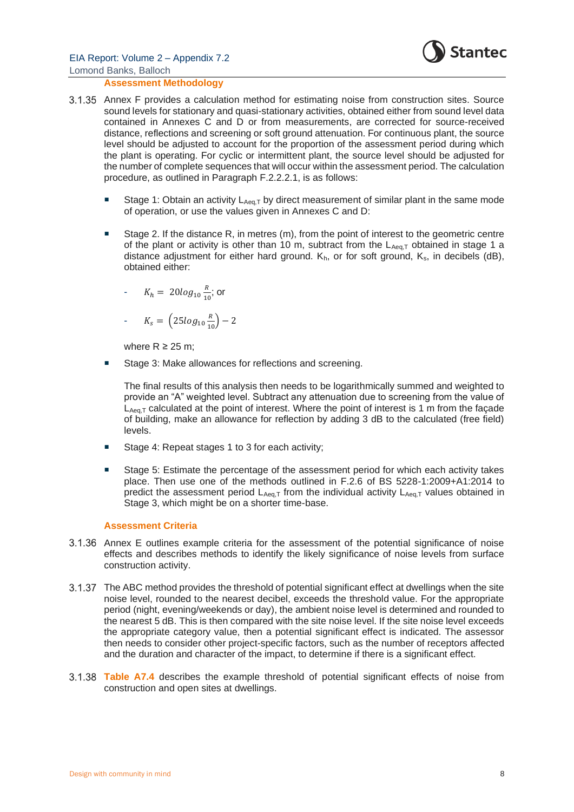

#### **Assessment Methodology**

- Annex F provides a calculation method for estimating noise from construction sites. Source sound levels for stationary and quasi-stationary activities, obtained either from sound level data contained in Annexes C and D or from measurements, are corrected for source-received distance, reflections and screening or soft ground attenuation. For continuous plant, the source level should be adjusted to account for the proportion of the assessment period during which the plant is operating. For cyclic or intermittent plant, the source level should be adjusted for the number of complete sequences that will occur within the assessment period. The calculation procedure, as outlined in Paragraph F.2.2.2.1, is as follows:
	- Stage 1: Obtain an activity  $L_{Aeq,T}$  by direct measurement of similar plant in the same mode of operation, or use the values given in Annexes C and D:
	- Stage 2. If the distance R, in metres (m), from the point of interest to the geometric centre of the plant or activity is other than 10 m, subtract from the  $L_{Aeq,T}$  obtained in stage 1 a distance adjustment for either hard ground.  $K_h$ , or for soft ground,  $K_s$ , in decibels (dB), obtained either:

- 
$$
K_h = 20log_{10} \frac{R}{10}
$$
; or

$$
K_s = \left(25log_{10}\frac{R}{10}\right) - 2
$$

where  $R \ge 25$  m:

Stage 3: Make allowances for reflections and screening.

The final results of this analysis then needs to be logarithmically summed and weighted to provide an "A" weighted level. Subtract any attenuation due to screening from the value of  $L_{Aeq,T}$  calculated at the point of interest. Where the point of interest is 1 m from the facade of building, make an allowance for reflection by adding 3 dB to the calculated (free field) levels.

- Stage 4: Repeat stages 1 to 3 for each activity;
- Stage 5: Estimate the percentage of the assessment period for which each activity takes place. Then use one of the methods outlined in F.2.6 of BS 5228-1:2009+A1:2014 to predict the assessment period  $L_{Aeq,T}$  from the individual activity  $L_{Aeq,T}$  values obtained in Stage 3, which might be on a shorter time-base.

#### **Assessment Criteria**

- Annex E outlines example criteria for the assessment of the potential significance of noise effects and describes methods to identify the likely significance of noise levels from surface construction activity.
- The ABC method provides the threshold of potential significant effect at dwellings when the site noise level, rounded to the nearest decibel, exceeds the threshold value. For the appropriate period (night, evening/weekends or day), the ambient noise level is determined and rounded to the nearest 5 dB. This is then compared with the site noise level. If the site noise level exceeds the appropriate category value, then a potential significant effect is indicated. The assessor then needs to consider other project-specific factors, such as the number of receptors affected and the duration and character of the impact, to determine if there is a significant effect.
- **Table A7.4** describes the example threshold of potential significant effects of noise from construction and open sites at dwellings.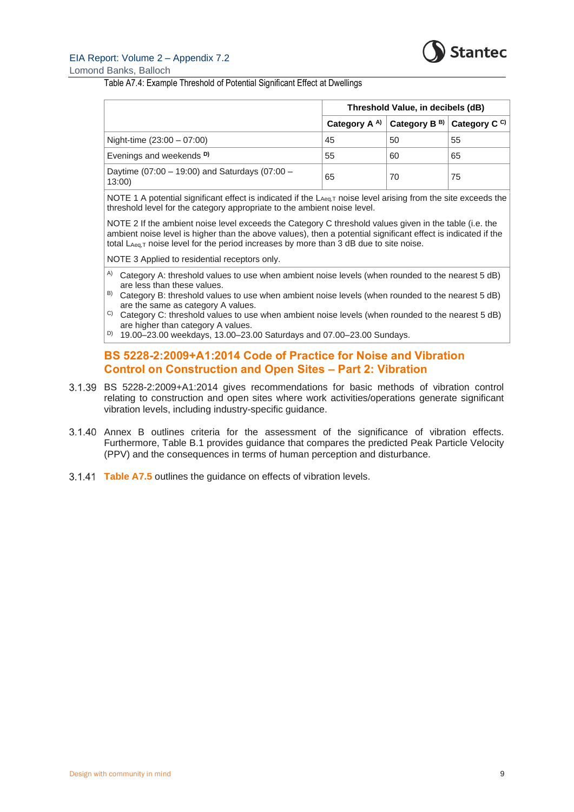

#### EIA Report: Volume 2 – Appendix 7.2 Lomond Banks, Balloch

#### Table A7.4: Example Threshold of Potential Significant Effect at Dwellings

|                                                         | Threshold Value, in decibels (dB) |                                                                             |    |
|---------------------------------------------------------|-----------------------------------|-----------------------------------------------------------------------------|----|
|                                                         |                                   | Category A <sup>A)</sup> Category B <sup>B)</sup> Category C <sup>C</sup> ) |    |
| Night-time $(23:00 - 07:00)$                            | 45                                | 50                                                                          | 55 |
| Evenings and weekends <sup>D)</sup>                     | 55                                | 60                                                                          | 65 |
| Daytime (07:00 - 19:00) and Saturdays (07:00 -<br>13:00 | 65                                | 70                                                                          | 75 |

NOTE 1 A potential significant effect is indicated if the LAeq,T noise level arising from the site exceeds the threshold level for the category appropriate to the ambient noise level.

NOTE 2 If the ambient noise level exceeds the Category C threshold values given in the table (i.e. the ambient noise level is higher than the above values), then a potential significant effect is indicated if the total  $L_{Aeq,T}$  noise level for the period increases by more than 3 dB due to site noise.

NOTE 3 Applied to residential receptors only.

- <sup>A)</sup> Category A: threshold values to use when ambient noise levels (when rounded to the nearest 5 dB) are less than these values.
- $B$ ) Category B: threshold values to use when ambient noise levels (when rounded to the nearest 5 dB) are the same as category A values.
- C) Category C: threshold values to use when ambient noise levels (when rounded to the nearest 5 dB) are higher than category A values.
- D) 19.00–23.00 weekdays, 13.00–23.00 Saturdays and 07.00–23.00 Sundays.

### **BS 5228-2:2009+A1:2014 Code of Practice for Noise and Vibration Control on Construction and Open Sites – Part 2: Vibration**

- BS 5228-2:2009+A1:2014 gives recommendations for basic methods of vibration control relating to construction and open sites where work activities/operations generate significant vibration levels, including industry-specific guidance.
- 3.1.40 Annex B outlines criteria for the assessment of the significance of vibration effects. Furthermore, Table B.1 provides guidance that compares the predicted Peak Particle Velocity (PPV) and the consequences in terms of human perception and disturbance.
- **Table A7.5** outlines the guidance on effects of vibration levels.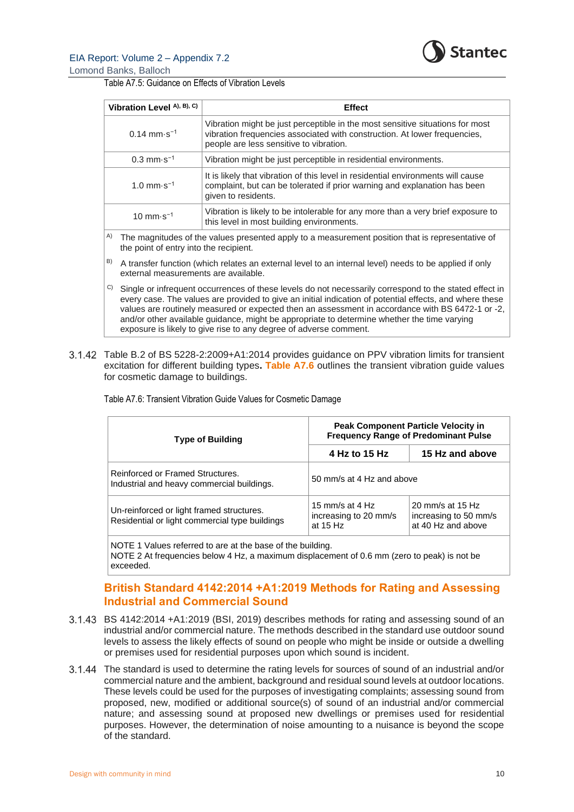

Lomond Banks, Balloch

Table A7.5: Guidance on Effects of Vibration Levels

| Vibration Level A), B), C)                                                                                                                                                                                                                                                                                                                                                                                                 | <b>Effect</b>                                                                                                                                                                                         |  |
|----------------------------------------------------------------------------------------------------------------------------------------------------------------------------------------------------------------------------------------------------------------------------------------------------------------------------------------------------------------------------------------------------------------------------|-------------------------------------------------------------------------------------------------------------------------------------------------------------------------------------------------------|--|
| $0.14$ mm $\cdot$ s <sup>-1</sup>                                                                                                                                                                                                                                                                                                                                                                                          | Vibration might be just perceptible in the most sensitive situations for most<br>vibration frequencies associated with construction. At lower frequencies,<br>people are less sensitive to vibration. |  |
| $0.3$ mm $\cdot$ s <sup>-1</sup>                                                                                                                                                                                                                                                                                                                                                                                           | Vibration might be just perceptible in residential environments.                                                                                                                                      |  |
| 1.0 mm $\cdot$ s <sup>-1</sup>                                                                                                                                                                                                                                                                                                                                                                                             | It is likely that vibration of this level in residential environments will cause<br>complaint, but can be tolerated if prior warning and explanation has been<br>given to residents.                  |  |
| 10 mm $\cdot$ s <sup>-1</sup>                                                                                                                                                                                                                                                                                                                                                                                              | Vibration is likely to be intolerable for any more than a very brief exposure to<br>this level in most building environments.                                                                         |  |
| A)<br>the point of entry into the recipient.                                                                                                                                                                                                                                                                                                                                                                               | The magnitudes of the values presented apply to a measurement position that is representative of                                                                                                      |  |
| B)<br>A transfer function (which relates an external level to an internal level) needs to be applied if only<br>external measurements are available.                                                                                                                                                                                                                                                                       |                                                                                                                                                                                                       |  |
| C)<br>Single or infrequent occurrences of these levels do not necessarily correspond to the stated effect in<br>every case. The values are provided to give an initial indication of potential effects, and where these<br>values are routinely measured or expected then an assessment in accordance with BS 6472-1 or -2,<br>and/or other available guidance, might be appropriate to determine whether the time varying |                                                                                                                                                                                                       |  |

Table B.2 of BS 5228-2:2009+A1:2014 provides guidance on PPV vibration limits for transient excitation for different building types**. Table A7.6** outlines the transient vibration guide values for cosmetic damage to buildings.

| <b>Type of Building</b>                                                                     | <b>Peak Component Particle Velocity in</b><br><b>Frequency Range of Predominant Pulse</b> |                                                                 |  |
|---------------------------------------------------------------------------------------------|-------------------------------------------------------------------------------------------|-----------------------------------------------------------------|--|
|                                                                                             | 4 Hz to 15 Hz                                                                             | 15 Hz and above                                                 |  |
| Reinforced or Framed Structures.<br>Industrial and heavy commercial buildings.              | 50 mm/s at 4 Hz and above                                                                 |                                                                 |  |
| Un-reinforced or light framed structures.<br>Residential or light commercial type buildings | 15 mm/s at 4 $Hz$<br>increasing to 20 mm/s<br>at 15 Hz                                    | 20 mm/s at 15 Hz<br>increasing to 50 mm/s<br>at 40 Hz and above |  |

Table A7.6: Transient Vibration Guide Values for Cosmetic Damage

exposure is likely to give rise to any degree of adverse comment.

NOTE 1 Values referred to are at the base of the building.

NOTE 2 At frequencies below 4 Hz, a maximum displacement of 0.6 mm (zero to peak) is not be exceeded.

## **British Standard 4142:2014 +A1:2019 Methods for Rating and Assessing Industrial and Commercial Sound**

- BS 4142:2014 +A1:2019 (BSI, 2019) describes methods for rating and assessing sound of an industrial and/or commercial nature. The methods described in the standard use outdoor sound levels to assess the likely effects of sound on people who might be inside or outside a dwelling or premises used for residential purposes upon which sound is incident.
- The standard is used to determine the rating levels for sources of sound of an industrial and/or commercial nature and the ambient, background and residual sound levels at outdoor locations. These levels could be used for the purposes of investigating complaints; assessing sound from proposed, new, modified or additional source(s) of sound of an industrial and/or commercial nature; and assessing sound at proposed new dwellings or premises used for residential purposes. However, the determination of noise amounting to a nuisance is beyond the scope of the standard.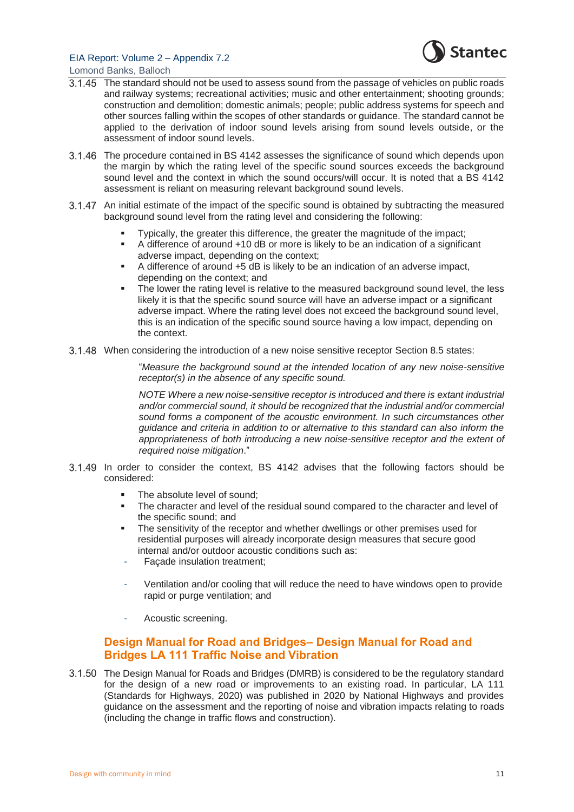

Lomond Banks, Balloch

- The standard should not be used to assess sound from the passage of vehicles on public roads and railway systems; recreational activities; music and other entertainment; shooting grounds; construction and demolition; domestic animals; people; public address systems for speech and other sources falling within the scopes of other standards or guidance. The standard cannot be applied to the derivation of indoor sound levels arising from sound levels outside, or the assessment of indoor sound levels.
- The procedure contained in BS 4142 assesses the significance of sound which depends upon the margin by which the rating level of the specific sound sources exceeds the background sound level and the context in which the sound occurs/will occur. It is noted that a BS 4142 assessment is reliant on measuring relevant background sound levels.
- 3.1.47 An initial estimate of the impact of the specific sound is obtained by subtracting the measured background sound level from the rating level and considering the following:
	- Typically, the greater this difference, the greater the magnitude of the impact;
	- A difference of around +10 dB or more is likely to be an indication of a significant adverse impact, depending on the context;
	- A difference of around +5 dB is likely to be an indication of an adverse impact, depending on the context; and
	- The lower the rating level is relative to the measured background sound level, the less likely it is that the specific sound source will have an adverse impact or a significant adverse impact. Where the rating level does not exceed the background sound level, this is an indication of the specific sound source having a low impact, depending on the context.
- When considering the introduction of a new noise sensitive receptor Section 8.5 states:

"*Measure the background sound at the intended location of any new noise-sensitive receptor(s) in the absence of any specific sound.*

*NOTE Where a new noise-sensitive receptor is introduced and there is extant industrial and/or commercial sound, it should be recognized that the industrial and/or commercial sound forms a component of the acoustic environment. In such circumstances other guidance and criteria in addition to or alternative to this standard can also inform the*  appropriateness of both introducing a new noise-sensitive receptor and the extent of *required noise mitigation*."

- In order to consider the context, BS 4142 advises that the following factors should be considered:
	- The absolute level of sound:
	- The character and level of the residual sound compared to the character and level of the specific sound; and
	- The sensitivity of the receptor and whether dwellings or other premises used for residential purposes will already incorporate design measures that secure good internal and/or outdoor acoustic conditions such as:
	- Façade insulation treatment;
	- Ventilation and/or cooling that will reduce the need to have windows open to provide rapid or purge ventilation; and
	- Acoustic screening.

## **Design Manual for Road and Bridges– Design Manual for Road and Bridges LA 111 Traffic Noise and Vibration**

The Design Manual for Roads and Bridges (DMRB) is considered to be the regulatory standard for the design of a new road or improvements to an existing road. In particular, LA 111 (Standards for Highways, 2020) was published in 2020 by National Highways and provides guidance on the assessment and the reporting of noise and vibration impacts relating to roads (including the change in traffic flows and construction).